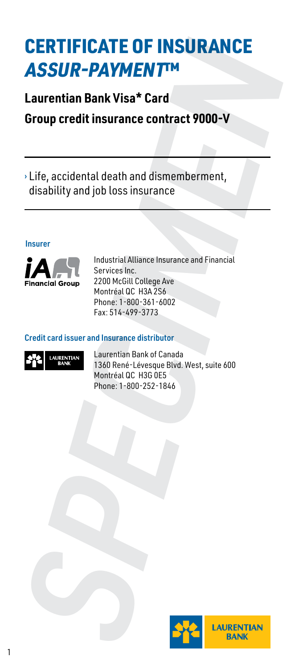# CERTIFICATE OF INSURANCE ASSUR-PAYMENT™ **CERTIFICATE OF INSURANCE<br>
ASSUR-PAYMENT<sup>IM</sup>**<br>
Laurentian Bank Visa\* Card<br>
Group credit insurance contract 9000-V<br>
<br>
The accidental death and dismemberment,<br>
disability and job loss insurance<br>
Insurer<br>
Insurer<br>
Insurer Ser

# **Laurentian Bank Visa\* Card**

**Group credit insurance contract 9000-V**

› Life, accidental death and dismemberment, disability and job loss insurance

#### Insurer



Industrial Alliance Insurance and Financial Services Inc. 2200 McGill College Ave Montréal QC H3A 2S6 Phone: 1-800-361-6002 Fax: 514-499-3773

#### Credit card issuer and Insurance distributor



Laurentian Bank of Canada 1360 René-Lévesque Blvd. West, suite 600 Montréal QC H3G 0E5

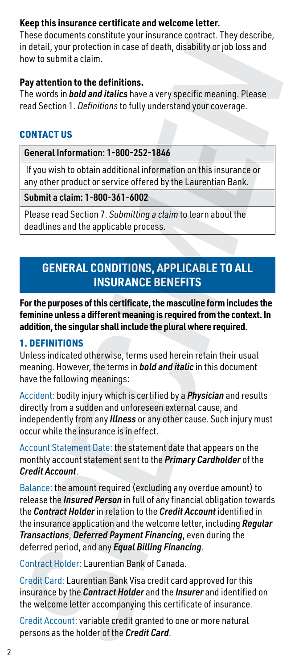#### **Keep this insurance certificate and welcome letter.**

These documents constitute your insurance contract. They describe, in detail, your protection in case of death, disability or job loss and how to submit a claim.

#### **Pay attention to the definitions.**

The words in *bold and italics* have a very specific meaning. Please read Section 1. *Definitions* to fully understand your coverage.

#### CONTACT US

General Information: 1-800-252-1846

 If you wish to obtain additional information on this insurance or any other product or service offered by the Laurentian Bank.

Submit a claim: 1-800-361-6002

Please read Section 7. *Submitting a claim* to learn about the deadlines and the applicable process.

# **GENERAL CONDITIONS, APPLICABLE TO ALL INSURANCE BENEFITS**

**For the purposes of this certificate, the masculine form includes the feminine unless a different meaning is required from the context. In addition, the singular shall include the plural where required.**

#### 1. DEFINITIONS

Unless indicated otherwise, terms used herein retain their usual meaning. However, the terms in *bold and italic* in this document have the following meanings:

Accident: bodily injury which is certified by a *Physician* and results directly from a sudden and unforeseen external cause, and independently from any *Illness* or any other cause. Such injury must occur while the insurance is in effect.

Account Statement Date: the statement date that appears on the monthly account statement sent to the *Primary Cardholder* of the *Credit Account*.

Balance: the amount required (excluding any overdue amount) to release the *Insured Person* in full of any financial obligation towards the *Contract Holder* in relation to the *Credit Account* identified in the insurance application and the welcome letter, including *Regular Transactions*, *Deferred Payment Financing*, even during the deferred period, and any *Equal Billing Financing*. increase to the hold of the **Credit Card** and the method of the Cardiac Connection in case of death, disability or job loss and<br>how to submit a claim.<br>The words in *both and Italics* have a very specific meaning. Please<br>Th

Contract Holder: Laurentian Bank of Canada.

Credit Card: Laurentian Bank Visa credit card approved for this insurance by the *Contract Holder* and the *Insurer* and identified on the welcome letter accompanying this certificate of insurance.

Credit Account: variable credit granted to one or more natural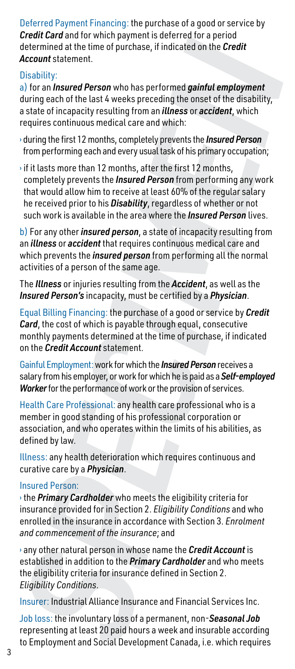Deferred Payment Financing: the purchase of a good or service by *Credit Card* and for which payment is deferred for a period determined at the time of purchase, if indicated on the *Credit Account* statement.

#### Disability:

a) for an *Insured Person* who has performed *gainful employment* during each of the last 4 weeks preceding the onset of the disability, a state of incapacity resulting from an *illness* or *accident*, which requires continuous medical care and which:

- › during the first 12 months, completely prevents the *Insured Person* from performing each and every usual task of his primary occupation;
- $\cdot$  if it lasts more than 12 months, after the first 12 months, completely prevents the *Insured Person* from performing any work that would allow him to receive at least 60% of the regular salary he received prior to his *Disability*, regardless of whether or not such work is available in the area where the *Insured Person* lives. oten conducts are the proposition of the state of the conducts of the conducts of the conducts of the conducts of the conducts of the conducts of the state of incapacity resulting the and social Development Cality (2) To c

b) For any other *insured person*, a state of incapacity resulting from an *illness* or *accident* that requires continuous medical care and which prevents the *insured person* from performing all the normal activities of a person of the same age.

The *Illness* or injuries resulting from the *Accident*, as well as the *Insured Person's* incapacity, must be certified by a *Physician*.

Equal Billing Financing: the purchase of a good or service by *Credit Card*, the cost of which is payable through equal, consecutive monthly payments determined at the time of purchase, if indicated on the *Credit Account* statement.

Gainful Employment: work for which the *Insured Person* receives a salary from his employer, or work for which he is paid as a *Self-employed Worker* for the performance of work or the provision of services.

Health Care Professional: any health care professional who is a member in good standing of his professional corporation or association, and who operates within the limits of his abilities, as defined by law.

Illness: any health deterioration which requires continuous and curative care by a *Physician*.

#### Insured Person:

› the *Primary Cardholder* who meets the eligibility criteria for insurance provided for in Section 2. *Eligibility Conditions* and who enrolled in the insurance in accordance with Section 3. *Enrolment and commencement of the insurance*; and

› any other natural person in whose name the *Credit Account* is established in addition to the *Primary Cardholder* and who meets the eligibility criteria for insurance defined in Section 2. *Eligibility Conditions*.

Insurer: Industrial Alliance Insurance and Financial Services Inc.

Job loss: the involuntary loss of a permanent, non-*Seasonal Job* representing at least 20 paid hours a week and insurable according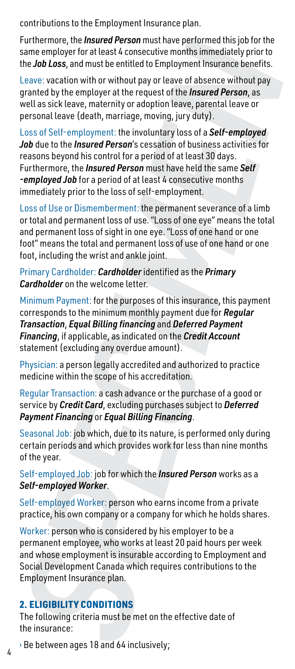contributions to the Employment Insurance plan.

Furthermore, the *Insured Person* must have performed this job for the same employer for at least 4 consecutive months immediately prior to the *Job Loss*, and must be entitled to Employment Insurance benefits.

Leave: vacation with or without pay or leave of absence without pay granted by the employer at the request of the *Insured Person*, as well as sick leave, maternity or adoption leave, parental leave or personal leave (death, marriage, moving, jury duty).

Loss of Self-employment: the involuntary loss of a *Self-employed Job* due to the *Insured Person*'s cessation of business activities for reasons beyond his control for a period of at least 30 days. Furthermore, the *Insured Person* must have held the same *Self -employed Job* for a period of at least 4 consecutive months immediately prior to the loss of self-employment. Furthermore, the *Insured Person* must have performed this joi for the<br>Ensure employer for alteast 4 consecutive months immediately prior to<br>the *Job Loss*, and must be emitted to Employment Insurance benefits.<br>Leave: veac

Loss of Use or Dismemberment: the permanent severance of a limb or total and permanent loss of use. "Loss of one eye" means the total and permanent loss of sight in one eye. "Loss of one hand or one foot" means the total and permanent loss of use of one hand or one foot, including the wrist and ankle joint.

Primary Cardholder: *Cardholder* identified as the *Primary Cardholder* on the welcome letter.

Minimum Payment: for the purposes of this insurance, this payment corresponds to the minimum monthly payment due for *Regular Transaction*, *Equal Billing financing* and *Deferred Payment Financing*, if applicable, as indicated on the *Credit Account* statement (excluding any overdue amount).

Physician: a person legally accredited and authorized to practice medicine within the scope of his accreditation.

Regular Transaction: a cash advance or the purchase of a good or service by *Credit Card*, excluding purchases subject to *Deferred Payment Financing* or *Equal Billing Financing*.

Seasonal Job: job which, due to its nature, is performed only during certain periods and which provides work for less than nine months of the year.

Self-employed Job: job for which the *Insured Person* works as a *Self-employed Worker*.

Self-employed Worker: person who earns income from a private practice, his own company or a company for which he holds shares.

Worker: person who is considered by his employer to be a permanent employee, who works at least 20 paid hours per week and whose employment is insurable according to Employment and Social Development Canada which requires contributions to the Employment Insurance plan.

#### 2. ELIGIBILITY CONDITIONS

The following criteria must be met on the effective date of the insurance: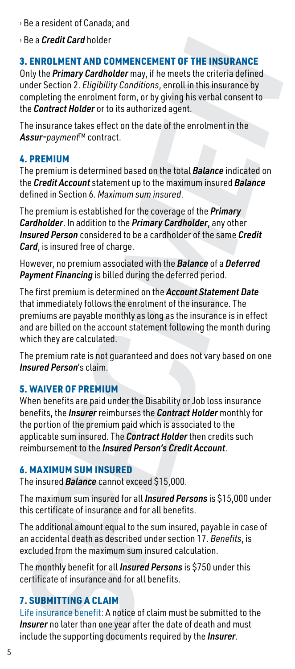- › Be a resident of Canada; and
- › Be a *Credit Card* holder

#### 3. ENROLMENT AND COMMENCEMENT OF THE INSURANCE

Only the *Primary Cardholder* may, if he meets the criteria defined under Section 2. *Eligibility Conditions*, enroll in this insurance by completing the enrolment form, or by giving his verbal consent to the *Contract Holder* or to its authorized agent.

The insurance takes effect on the date of the enrolment in the Assur-payment™ contract.

#### 4. PREMIUM

The premium is determined based on the total *Balance* indicated on the *Credit Account* statement up to the maximum insured *Balance* defined in Section 6. *Maximum sum insured*.

The premium is established for the coverage of the *Primary Cardholder*. In addition to the *Primary Cardholder*, any other *Insured Person* considered to be a cardholder of the same *Credit Card*, is insured free of charge.

However, no premium associated with the *Balance* of a *Deferred Payment Financing* is billed during the deferred period.

The first premium is determined on the *Account Statement Date* that immediately follows the enrolment of the insurance. The premiums are payable monthly as long as the insurance is in effect and are billed on the account statement following the month during which they are calculated. i: Be a *Credit Card* holder<br>
S. E. RNROLMENT AND COMMENCEMENT OF THE INSURANCE<br>
S. THROLMENT AND COMMENCEMENT OF THE INSURANCE<br>
CONJV the *Primary Cardinolder* may, if he meets the criteria defined<br>
completing the enrolme **INSURANCE**<br>
criteria defined<br>
insurance by<br>
sinsurance by<br>
ment in the<br>
ment in the<br> **Primary**<br>
c, any other<br> **Primary**<br>
c, any other<br>
e same *Credit*<br>
of a *Deferred*<br>
rance. The<br>
rance is in effect<br>
rance. The<br>
rance is

The premium rate is not guaranteed and does not vary based on one *Insured Person*'s claim.

#### 5. WAIVER OF PREMIUM

When benefits are paid under the Disability or Job loss insurance benefits, the *Insurer* reimburses the *Contract Holder* monthly for the portion of the premium paid which is associated to the applicable sum insured. The *Contract Holder* then credits such reimbursement to the *Insured Person's Credit Account*.

#### 6. MAXIMUM SUM INSURED

The insured *Balance* cannot exceed \$15,000.

The maximum sum insured for all *Insured Persons* is \$15,000 under this certificate of insurance and for all benefits.

The additional amount equal to the sum insured, payable in case of an accidental death as described under section 17. *Benefits*, is excluded from the maximum sum insured calculation.

The monthly benefit for all *Insured Persons* is \$750 under this certificate of insurance and for all benefits.

#### **7. SUBMITTING A CLAIM**

Life insurance benefit: A notice of claim must be submitted to the *Insurer* no later than one year after the date of death and must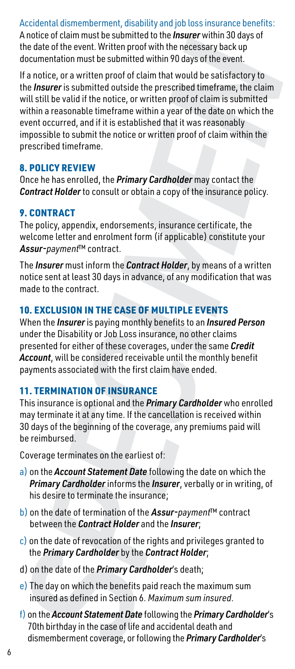Accidental dismemberment, disability and job loss insurance benefits: A notice of claim must be submitted to the *Insurer* within 30 days of the date of the event. Written proof with the necessary back up documentation must be submitted within 90 days of the event.

If a notice, or a written proof of claim that would be satisfactory to the *Insurer* is submitted outside the prescribed timeframe, the claim will still be valid if the notice, or written proof of claim is submitted within a reasonable timeframe within a year of the date on which the event occurred, and if it is established that it was reasonably impossible to submit the notice or written proof of claim within the prescribed timeframe. whate or than what to enable the method of the method of the production and the *SPECIMEN* of the sense of the sense of the sense of the sense of the sense of the sense of the sense of the *SPECIMEN* (*BP*) and the *SPECIM* 

#### 8. POLICY REVIEW

Once he has enrolled, the *Primary Cardholder* may contact the *Contract Holder* to consult or obtain a copy of the insurance policy.

### 9. CONTRACT

The policy, appendix, endorsements, insurance certificate, the welcome letter and enrolment form (if applicable) constitute your Assur-payment™ contract.

The *Insurer* must inform the *Contract Holder*, by means of a written notice sent at least 30 days in advance, of any modification that was made to the contract.

# 10. EXCLUSION IN THE CASE OF MULTIPLE EVENTS

When the *Insurer* is paying monthly benefits to an *Insured Person* under the Disability or Job Loss insurance, no other claims presented for either of these coverages, under the same *Credit Account*, will be considered receivable until the monthly benefit payments associated with the first claim have ended.

# 11. TERMINATION OF INSURANCE

This insurance is optional and the *Primary Cardholder* who enrolled may terminate it at any time. If the cancellation is received within 30 days of the beginning of the coverage, any premiums paid will be reimbursed.

Coverage terminates on the earliest of:

- a) on the *Account Statement Date* following the date on which the *Primary Cardholder* informs the *Insurer*, verbally or in writing, of his desire to terminate the insurance;
- b) on the date of termination of the Assur-payment™ contract between the *Contract Holder* and the *Insurer*;
- $\overline{c}$ ) on the date of revocation of the rights and privileges granted to the *Primary Cardholder* by the *Contract Holder*;
- d) on the date of the *Primary Cardholder*'s death;
- e) The day on which the benefits paid reach the maximum sum insured as defined in Section 6. *Maximum sum insured*.
- f) on the *Account Statement Date* following the *Primary Cardholder*'s 70th birthday in the case of life and accidental death and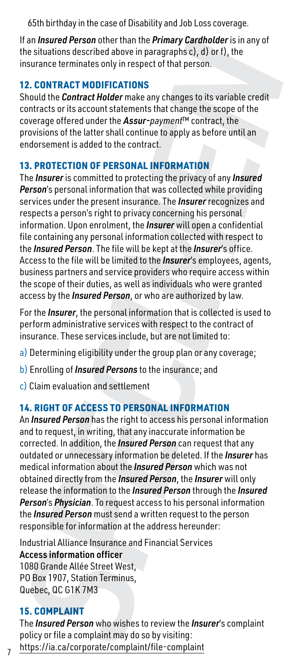65th birthday in the case of Disability and Job Loss coverage.

If an *Insured Person* other than the *Primary Cardholder* is in any of the situations described above in paragraphs c), d) or f), the insurance terminates only in respect of that person.

#### 12. CONTRACT MODIFICATIONS

Should the *Contract Holder* make any changes to its variable credit contracts or its account statements that change the scope of the coverage offered under the Assur-paymen<sup>t</sup>™ contract, the provisions of the latter shall continue to apply as before until an endorsement is added to the contract.

#### 13. PROTECTION OF PERSONAL INFORMATION

The *Insurer* is committed to protecting the privacy of any *Insured Person*'s personal information that was collected while providing services under the present insurance. The *Insurer* recognizes and respects a person's right to privacy concerning his personal information. Upon enrolment, the *Insurer* will open a confidential file containing any personal information collected with respect to the *Insured Person*. The file will be kept at the *Insurer*'s office. Access to the file will be limited to the *Insurer*'s employees, agents, business partners and service providers who require access within the scope of their duties, as well as individuals who were granted access by the *Insured Person*, or who are authorized by law. lf an *Insured Person* then the hard from the *Person* (From the Person (From the Brancholeter is in any of Carelin the *Pimary* C<sub>n</sub>, the insurance terminates only in respect of that person.<br>
Should the **Contract Moder ma** 

For the *Insurer*, the personal information that is collected is used to perform administrative services with respect to the contract of insurance. These services include, but are not limited to:

- a) Determining eligibility under the group plan or any coverage;
- b) Enrolling of *Insured Persons* to the insurance; and
- c) Claim evaluation and settlement

#### 14. RIGHT OF ACCESS TO PERSONAL INFORMATION

An *Insured Person* has the right to access his personal information and to request, in writing, that any inaccurate information be corrected. In addition, the *Insured Person* can request that any outdated or unnecessary information be deleted. If the *Insurer* has medical information about the *Insured Person* which was not obtained directly from the *Insured Person*, the *Insurer* will only release the information to the *Insured Person* through the *Insured Person*'s *Physician*. To request access to his personal information the *Insured Person* must send a written request to the person responsible for information at the address hereunder:

Industrial Alliance Insurance and Financial Services Access information officer 1080 Grande Allée Street West, PO Box 1907, Station Terminus, Quebec, QC G1K 7M3

#### 15. COMPLAINT

The *Insured Person* who wishes to review the *Insurer*'s complaint policy or file a complaint may do so by visiting:

7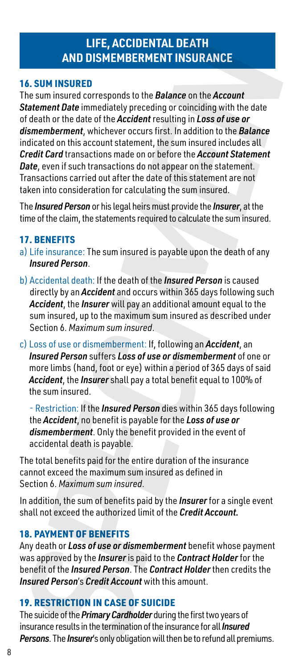# **LIFE, ACCIDENTAL DEATH AND DISMEMBERMENT INSURANCE**

#### 16. SUM INSURED

The sum insured corresponds to the *Balance* on the *Account Statement Date* immediately preceding or coinciding with the date of death or the date of the *Accident* resulting in *Loss of use or dismemberment*, whichever occurs first. In addition to the *Balance* indicated on this account statement, the sum insured includes all *Credit Card* transactions made on or before the *Account Statement Date*, even if such transactions do not appear on the statement. Transactions carried out after the date of this statement are not taken into consideration for calculating the sum insured. **PHF, ACCIDENTAL DEATH**<br> **PERSON INSURED**<br> **PERSON INSURED**<br> **PERSON INSURED**<br> **PERSONS THE SUIRRANCE IN EXPLOREMENT INSURANCE INTO THE SIMPLEM INTO THE SUIRRANCE SCALUTE INTO THE UNITROLLATE THE UNITROLLATE IN the dialet** 

The *Insured Person* or his legal heirs must provide the *Insurer*, at the time of the claim, the statements required to calculate the sum insured.

#### 17. BENEFITS

- a) Life insurance: The sum insured is payable upon the death of any *Insured Person*.
- b) Accidental death: If the death of the *Insured Person* is caused directly by an *Accident* and occurs within 365 days following such *Accident*, the *Insurer* will pay an additional amount equal to the sum insured, up to the maximum sum insured as described under Section 6. *Maximum sum insured*.
- c) Loss of use or dismemberment: If, following an *Accident*, an *Insured Person* suffers *Loss of use or dismemberment* of one or more limbs (hand, foot or eye) within a period of 365 days of said *Accident*, the *Insurer* shall pay a total benefit equal to 100% of the sum insured.

- Restriction: If the *Insured Person* dies within 365 days following the *Accident*, no benefit is payable for the *Loss of use or dismemberment*. Only the benefit provided in the event of accidental death is payable.

The total benefits paid for the entire duration of the insurance cannot exceed the maximum sum insured as defined in Section 6. *Maximum sum insured*.

In addition, the sum of benefits paid by the *Insurer* for a single event shall not exceed the authorized limit of the *Credit Account.*

#### 18. PAYMENT OF BENEFITS

Any death or *Loss of use or dismemberment* benefit whose payment was approved by the *Insurer* is paid to the *Contract Holder* for the benefit of the *Insured Person*. The *Contract Holder* then credits the *Insured Person*'s *Credit Account* with this amount.

#### 19. RESTRICTION IN CASE OF SUICIDE

The suicide of the *Primary Cardholder* during the first two years of insurance results in the termination of the insurance for all *Insured*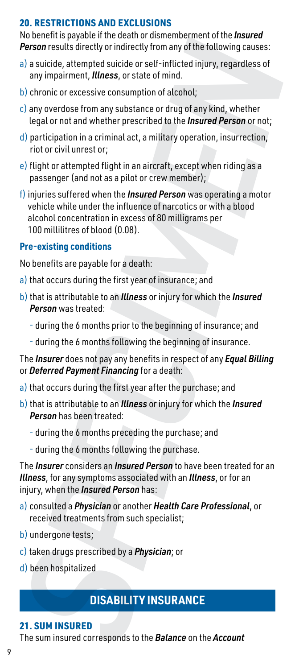#### 20. RESTRICTIONS AND EXCLUSIONS

No benefit is payable if the death or dismemberment of the *Insured Person* results directly or indirectly from any of the following causes:

- a) a suicide, attempted suicide or self-inflicted injury, regardless of any impairment, *Illness*, or state of mind.
- b) chronic or excessive consumption of alcohol;
- c) any overdose from any substance or drug of any kind, whether legal or not and whether prescribed to the *Insured Person* or not;
- d) participation in a criminal act, a military operation, insurrection, riot or civil unrest or;
- e) flight or attempted flight in an aircraft, except when riding as a passenger (and not as a pilot or crew member);
- f) injuries suffered when the *Insured Person* was operating a motor vehicle while under the influence of narcotics or with a blood alcohol concentration in excess of 80 milligrams per 100 millilitres of blood (0.08). no encontrol person and the *SPECIMERANCE* and the *SPECIMERANCE* and the *SPECIMERANCE* and interactive on the *SPECIMERANCE* and interactive and the *SPECIMERANCE* and the *SPECIMERANCE* **Corresponds to the** *SPECIMERANCE*

#### **Pre-existing conditions**

No benefits are payable for a death:

- a) that occurs during the first year of insurance; and
- b)that is attributable to an *Illness* or injury for which the *Insured Person* was treated:
	- during the 6 months prior to the beginning of insurance; and
	- during the 6 months following the beginning of insurance.

The *Insurer* does not pay any benefits in respect of any *Equal Billing* or *Deferred Payment Financing* for a death:

- a) that occurs during the first year after the purchase; and
- b)that is attributable to an *Illness* or injury for which the *Insured Person* has been treated:
	- during the 6 months preceding the purchase; and
	- during the 6 months following the purchase.

The *Insurer* considers an *Insured Person* to have been treated for an *Illness*, for any symptoms associated with an *Illness*, or for an injury, when the *Insured Person* has:

- a) consulted a *Physician* or another *Health Care Professional*, or received treatments from such specialist;
- b) undergone tests;
- c) taken drugs prescribed by a *Physician*; or
- d) been hospitalized

# **DISABILITY INSURANCE**

#### 21. SUM INSURED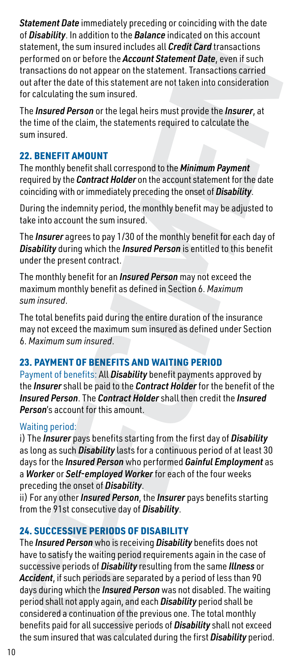*Statement Date* immediately preceding or coinciding with the date of *Disability*. In addition to the *Balance* indicated on this account statement, the sum insured includes all *Credit Card* transactions performed on or before the *Account Statement Date*, even if such transactions do not appear on the statement. Transactions carried out after the date of this statement are not taken into consideration for calculating the sum insured.

The *Insured Person* or the legal heirs must provide the *Insurer*, at the time of the claim, the statements required to calculate the sum insured.

#### 22. BENEFIT AMOUNT

The monthly benefit shall correspond to the *Minimum Payment* required by the *Contract Holder* on the account statement for the date coinciding with or immediately preceding the onset of *Disability*.

During the indemnity period, the monthly benefit may be adjusted to take into account the sum insured.

The *Insurer* agrees to pay 1/30 of the monthly benefit for each day of *Disability* during which the *Insured Person* is entitled to this benefit under the present contract.

The monthly benefit for an *Insured Person* may not exceed the maximum monthly benefit as defined in Section 6. *Maximum sum insured*.

The total benefits paid during the entire duration of the insurance may not exceed the maximum sum insured as defined under Section 6. *Maximum sum insured*.

#### 23. PAYMENT OF BENEFITS AND WAITING PERIOD

Payment of benefits: All *Disability* benefit payments approved by the *Insurer* shall be paid to the *Contract Holder* for the benefit of the *Insured Person*. The *Contract Holder* shall then credit the *Insured Person*'s account for this amount.

#### Waiting period:

i) The *Insurer* pays benefits starting from the first day of *Disability* as long as such *Disability* lasts for a continuous period of at least 30 days for the *Insured Person* who performed *Gainful Employment* as a *Worker* or *Self-employed Worker* for each of the four weeks preceding the onset of *Disability*.

ii) For any other *Insured Person*, the *Insurer* pays benefits starting from the 91st consecutive day of *Disability*.

#### 24. SUCCESSIVE PERIODS OF DISABILITY

The *Insured Person* who is receiving *Disability* benefits does not have to satisfy the waiting period requirements again in the case of successive periods of *Disability* resulting from the same *Illness* or *Accident*, if such periods are separated by a period of less than 90 days during which the *Insured Person* was not disabled. The waiting period shall not apply again, and each *Disability* period shall be considered a continuation of the previous one. The total monthly benefits paid for all successive periods of *Disability* shall not exceed or sociality (whis the sum of the control Statement Panceleon (whis the sum insured in the first order the Account Statement, The sum insured in the first order the Account Statement. Transactions can be then the first ord *I* transactom<br> *Urensactions*<br> *Cee,* even if such<br> *Disability*<br> *Disability*.<br> *Disability*.<br> *Disability*.<br> *Disability*.<br> *Disability*.<br> *Disability*.<br> *Disability*.<br> *Disability*<br> *Disapproved by*<br> *Disapproved by*<br>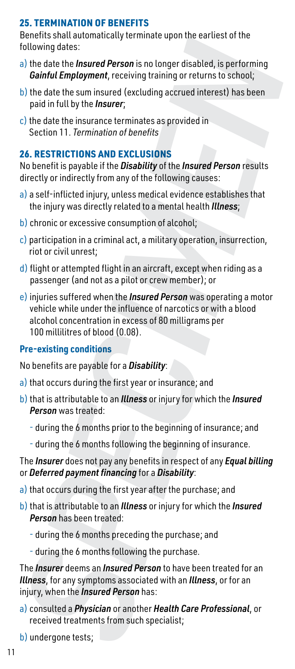#### 25. TERMINATION OF BENEFITS

Benefits shall automatically terminate upon the earliest of the following dates:

- a) the date the *Insured Person* is no longer disabled, is performing *Gainful Employment*, receiving training or returns to school;
- b) the date the sum insured (excluding accrued interest) has been paid in full by the *Insurer*;
- $\mathbf c$ ) the date the insurance terminates as provided in Section 11. *Termination of benefits*

#### 26. RESTRICTIONS AND EXCLUSIONS

No benefit is payable if the *Disability* of the *Insured Person* results directly or indirectly from any of the following causes:

- a) a self-inflicted injury, unless medical evidence establishes that the injury was directly related to a mental health *Illness*;
- b) chronic or excessive consumption of alcohol;
- c) participation in a criminal act, a military operation, insurrection, riot or civil unrest;
- $\mathbf d$ ) flight or attempted flight in an aircraft, except when riding as a passenger (and not as a pilot or crew member); or
- e)injuries suffered when the *Insured Person* was operating a motor vehicle while under the influence of narcotics or with a blood alcohol concentration in excess of 80 milligrams per 100 millilitres of blood (0.08). Collaborate the *Internet Person* is a conger disability the data the *base of the data the Instanting Certifical* Collaboration Califical Department Calification Calification Calification Calification Calification Calific

#### **Pre-existing conditions**

No benefits are payable for a *Disability*:

- a) that occurs during the first year or insurance; and
- b) that is attributable to an *Illness* or injury for which the *Insured Person* was treated:
	- during the 6 months prior to the beginning of insurance; and
	- during the 6 months following the beginning of insurance.

#### The *Insurer* does not pay any benefits in respect of any *Equal billing* or *Deferred payment financing* for a *Disability*:

- a) that occurs during the first year after the purchase; and
- b)that is attributable to an *Illness* or injury for which the *Insured Person* has been treated:
	- during the 6 months preceding the purchase; and
	- during the 6 months following the purchase.

The *Insurer* deems an *Insured Person* to have been treated for an *Illness*, for any symptoms associated with an *Illness*, or for an injury, when the *Insured Person* has:

- a) consulted a *Physician* or another *Health Care Professional*, or received treatments from such specialist;
-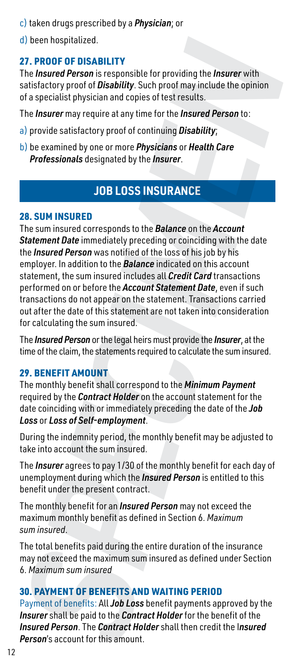- c) taken drugs prescribed by a *Physician*; or
- d) been hospitalized.

## 27. PROOF OF DISABILITY

The *Insured Person* is responsible for providing the *Insurer* with satisfactory proof of *Disability*. Such proof may include the opinion of a specialist physician and copies of test results.

The *Insurer* may require at any time for the *Insured Person* to:

- a) provide satisfactory proof of continuing *Disability*;
- b) be examined by one or more *Physicians* or *Health Care Professionals* designated by the *Insurer*.

# **JOB LOSS INSURANCE**

#### 28. SUM INSURED

The sum insured corresponds to the *Balance* on the *Account Statement Date* immediately preceding or coinciding with the date the *Insured Person* was notified of the loss of his job by his employer. In addition to the *Balance* indicated on this account statement, the sum insured includes all *Credit Card* transactions performed on or before the *Account Statement Date*, even if such transactions do not appear on the statement. Transactions carried out after the date of this statement are not taken into consideration for calculating the sum insured. d) been hospitalized.<br>
27. **PROOF OF DISABILITY**<br>
27. **PROOF OF DISABILITY**<br>
27. **PROOF OF DISABILITY**<br> **PROOF OF DISABILITY**<br> **PROOF OF DISABINITY**, Such proof in going itself providing the *Insurer* with<br>
and specialist

The *Insured Person* or the legal heirs must provide the *Insurer*, at the time of the claim, the statements required to calculate the sum insured.

#### 29. BENEFIT AMOUNT

The monthly benefit shall correspond to the *Minimum Payment* required by the *Contract Holder* on the account statement for the date coinciding with or immediately preceding the date of the *Job Loss* or *Loss of Self-employment*.

During the indemnity period, the monthly benefit may be adjusted to take into account the sum insured.

The *Insurer* agrees to pay 1/30 of the monthly benefit for each day of unemployment during which the *Insured Person* is entitled to this benefit under the present contract.

The monthly benefit for an *Insured Person* may not exceed the maximum monthly benefit as defined in Section 6. *Maximum sum insured*.

The total benefits paid during the entire duration of the insurance may not exceed the maximum sum insured as defined under Section 6. *Maximum sum insured*

#### 30. PAYMENT OF BENEFITS AND WAITING PERIOD

Payment of benefits: All *Job Loss* benefit payments approved by the *Insurer* shall be paid to the *Contract Holder* for the benefit of the *Insured Person*. The *Contract Holder* shall then credit the I*nsured*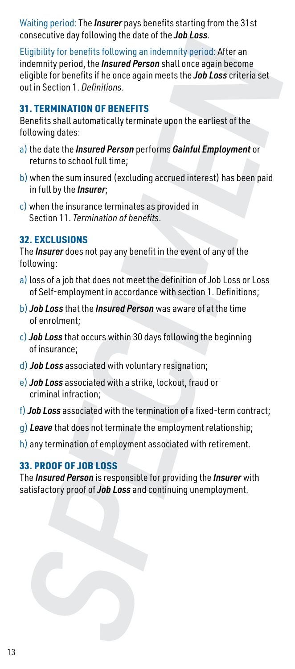Waiting period: The *Insurer* pays benefits starting from the 31st consecutive day following the date of the *Job Loss*.

Eligibility for benefits following an indemnity period: After an indemnity period, the *Insured Person* shall once again become eligible for benefits if he once again meets the *Job Loss* criteria set out in Section 1. *Definitions*. contained the *Josep* in the *Josep* and continuing in an indentity period. After an indentually period. The *Josepa* shall once again meets the *Job Loss* criterias et eligible for benefits if the conte again meets the *J* 

#### 31. TERMINATION OF BENEFITS

Benefits shall automatically terminate upon the earliest of the following dates:

- a) the date the *Insured Person* performs *Gainful Employment* or returns to school full time;
- b) when the sum insured (excluding accrued interest) has been paid in full by the *Insurer*;
- c) when the insurance terminates as provided in Section 11. *Termination of benefits*.

#### 32. EXCLUSIONS

The *Insurer* does not pay any benefit in the event of any of the following:

- a) loss of a job that does not meet the definition of Job Loss or Loss of Self-employment in accordance with section 1. Definitions;
- b) *Job Loss* that the *Insured Person* was aware of at the time of enrolment;
- c) *Job Loss* that occurs within 30 days following the beginning of insurance;
- d) *Job Loss* associated with voluntary resignation;
- e) *Job Loss* associated with a strike, lockout, fraud or criminal infraction;
- f) *Job Loss* associated with the termination of a fixed-term contract;
- g) *Leave* that does not terminate the employment relationship;
- h) any termination of employment associated with retirement.

#### 33. PROOF OF JOB LOSS

The *Insured Person* is responsible for providing the *Insurer* with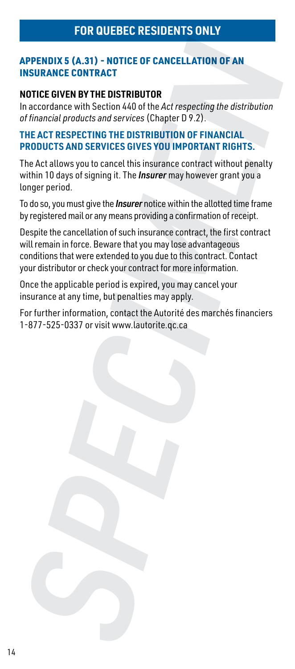#### APPENDIX 5 (A.31) - NOTICE OF CANCELLATION OF AN INSURANCE CONTRACT

#### **NOTICE GIVEN BY THE DISTRIBUTOR**

In accordance with Section 440 of the *Act respecting the distribution of financial products and services* (Chapter D 9.2).

#### **THE ACT RESPECTING THE DISTRIBUTION OF FINANCIAL PRODUCTS AND SERVICES GIVES YOU IMPORTANT RIGHTS.**

The Act allows you to cancel this insurance contract without penalty within 10 days of signing it. The *Insurer* may however grant you a longer period.

To do so, you must give the *Insurer* notice within the allotted time frame by registered mail or any means providing a confirmation of receipt.

Despite the cancellation of such insurance contract, the first contract will remain in force. Beware that you may lose advantageous conditions that were extended to you due to this contract. Contact your distributor or check your contract for more information. APPENDIX 5 (A.31) - NOTICE OF CANCELLATION OF AN<br>
INSURANCE CONTRACT<br>
INSCIDENCE GIVEN BY THE DISTRIBUTOR<br>
In accordance with Section 440 of the Act respecting the distribution<br>
In accordance with Section 440 of the Act re

Once the applicable period is expired, you may cancel your insurance at any time, but penalties may apply.

For further information, contact the Autorité des marchés financiers<br>1-877-525-0337 or visit www.lautorite.gc.ca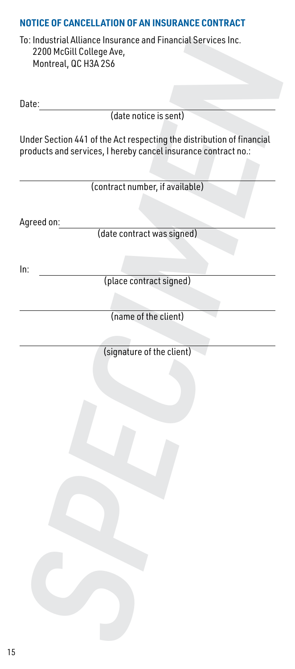# **NOTICE OF CANCELLATION OF AN INSURANCE CONTRACT** To: Industrial Alliance Insurance and Financial Services Inc. 2200 McGill College Ave, Montreal, QC H3A 2S6 Date: (date notice is sent) Under Section 441 of the Act respecting the distribution of financial products and services, I hereby cancel insurance contract no.: (contract number, if available) Agreed on: To: Industrial Alliance Insurance and Financial Services Inc.<br>
22000 McGill College Ave,<br>
Montreal, QC H3A 2S6<br>
Date:<br>
(date notice is sent)<br>
Under Section 441 of the Act respecting the distribution of financial<br>
roroducts

(date contract was signed)

In:

(place contract signed)

(name of the client)